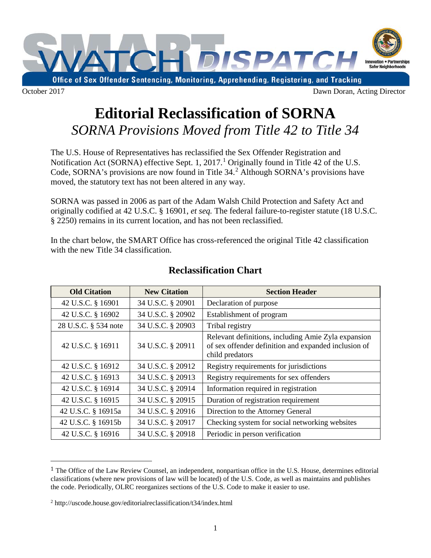

## **Editorial Reclassification of SORNA** *SORNA Provisions Moved from Title 42 to Title 34*

The U.S. House of Representatives has reclassified the Sex Offender Registration and Notification Act (SORNA) effective Sept. [1](#page-0-0), 2017.<sup>1</sup> Originally found in Title 42 of the U.S. Code, SORNA's provisions are now found in Title 34.<sup>[2](#page-0-1)</sup> Although SORNA's provisions have moved, the statutory text has not been altered in any way.

SORNA was passed in 2006 as part of the Adam Walsh Child Protection and Safety Act and originally codified at 42 U.S.C. § 16901, *et seq.* The federal failure-to-register statute (18 U.S.C. § 2250) remains in its current location, and has not been reclassified.

In the chart below, the SMART Office has cross-referenced the original Title 42 classification with the new Title 34 classification.

| <b>Old Citation</b>  | <b>New Citation</b> | <b>Section Header</b>                                                                                                          |
|----------------------|---------------------|--------------------------------------------------------------------------------------------------------------------------------|
| 42 U.S.C. § 16901    | 34 U.S.C. § 20901   | Declaration of purpose                                                                                                         |
| 42 U.S.C. § 16902    | 34 U.S.C. § 20902   | Establishment of program                                                                                                       |
| 28 U.S.C. § 534 note | 34 U.S.C. § 20903   | Tribal registry                                                                                                                |
| 42 U.S.C. § 16911    | 34 U.S.C. § 20911   | Relevant definitions, including Amie Zyla expansion<br>of sex offender definition and expanded inclusion of<br>child predators |
| 42 U.S.C. § 16912    | 34 U.S.C. § 20912   | Registry requirements for jurisdictions                                                                                        |
| 42 U.S.C. § 16913    | 34 U.S.C. § 20913   | Registry requirements for sex offenders                                                                                        |
| 42 U.S.C. § 16914    | 34 U.S.C. § 20914   | Information required in registration                                                                                           |
| 42 U.S.C. § 16915    | 34 U.S.C. § 20915   | Duration of registration requirement                                                                                           |
| 42 U.S.C. § 16915a   | 34 U.S.C. § 20916   | Direction to the Attorney General                                                                                              |
| 42 U.S.C. § 16915b   | 34 U.S.C. § 20917   | Checking system for social networking websites                                                                                 |
| 42 U.S.C. § 16916    | 34 U.S.C. § 20918   | Periodic in person verification                                                                                                |

## **Reclassification Chart**

<span id="page-0-0"></span> <sup>1</sup> The Office of the Law Review Counsel, an independent, nonpartisan office in the U.S. House, determines editorial classifications (where new provisions of law will be located) of the U.S. Code, as well as maintains and publishes the code. Periodically, OLRC reorganizes sections of the U.S. Code to make it easier to use.

<span id="page-0-1"></span><sup>2</sup> http://uscode.house.gov/editorialreclassification/t34/index.html